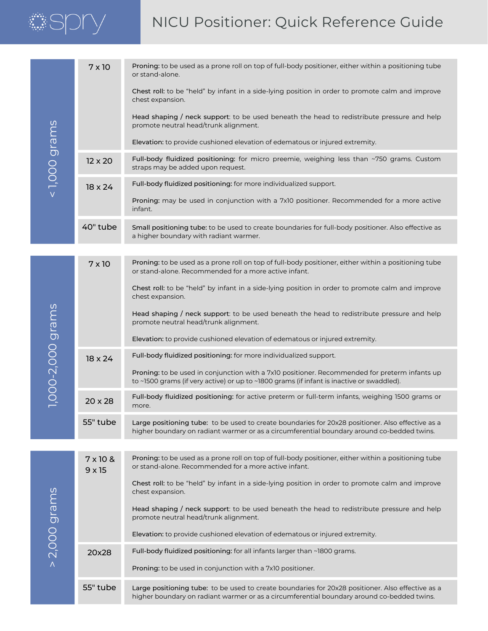# *SSDN*

# NICU Positioner: Quick Reference Guide

| $\leq$ 1,000 grams | $7 \times 10$                    | Proning: to be used as a prone roll on top of full-body positioner, either within a positioning tube<br>or stand-alone.                                                                         |
|--------------------|----------------------------------|-------------------------------------------------------------------------------------------------------------------------------------------------------------------------------------------------|
|                    |                                  | Chest roll: to be "held" by infant in a side-lying position in order to promote calm and improve<br>chest expansion.                                                                            |
|                    |                                  | Head shaping / neck support: to be used beneath the head to redistribute pressure and help<br>promote neutral head/trunk alignment.                                                             |
|                    |                                  | Elevation: to provide cushioned elevation of edematous or injured extremity.                                                                                                                    |
|                    | $12 \times 20$                   | Full-body fluidized positioning: for micro preemie, weighing less than ~750 grams. Custom<br>straps may be added upon request.                                                                  |
|                    | $18 \times 24$                   | Full-body fluidized positioning: for more individualized support.                                                                                                                               |
|                    |                                  | Proning: may be used in conjunction with a 7x10 positioner. Recommended for a more active<br>infant.                                                                                            |
|                    | 40" tube                         | Small positioning tube: to be used to create boundaries for full-body positioner. Also effective as<br>a higher boundary with radiant warmer.                                                   |
|                    |                                  |                                                                                                                                                                                                 |
| 1,000-2,000 grams  | $7 \times 10$                    | Proning: to be used as a prone roll on top of full-body positioner, either within a positioning tube<br>or stand-alone. Recommended for a more active infant.                                   |
|                    |                                  | Chest roll: to be "held" by infant in a side-lying position in order to promote calm and improve<br>chest expansion.                                                                            |
|                    |                                  | Head shaping / neck support: to be used beneath the head to redistribute pressure and help<br>promote neutral head/trunk alignment.                                                             |
|                    |                                  | Elevation: to provide cushioned elevation of edematous or injured extremity.                                                                                                                    |
|                    | $18 \times 24$                   | Full-body fluidized positioning: for more individualized support.                                                                                                                               |
|                    |                                  | Proning: to be used in conjunction with a 7x10 positioner. Recommended for preterm infants up<br>to ~1500 grams (if very active) or up to ~1800 grams (if infant is inactive or swaddled).      |
|                    | $20 \times 28$                   | Full-body fluidized positioning: for active preterm or full-term infants, weighing 1500 grams or<br>more.                                                                                       |
|                    | 55" tube                         | Large positioning tube: to be used to create boundaries for 20x28 positioner. Also effective as a<br>higher boundary on radiant warmer or as a circumferential boundary around co-bedded twins. |
|                    |                                  |                                                                                                                                                                                                 |
| $>$ 2,000 grams    | $7 \times 10$ &<br>$9 \times 15$ | Proning: to be used as a prone roll on top of full-body positioner, either within a positioning tube<br>or stand-alone. Recommended for a more active infant.                                   |
|                    |                                  | Chest roll: to be "held" by infant in a side-lying position in order to promote calm and improve<br>chest expansion.                                                                            |
|                    |                                  | Head shaping / neck support: to be used beneath the head to redistribute pressure and help<br>promote neutral head/trunk alignment.                                                             |
|                    |                                  | Elevation: to provide cushioned elevation of edematous or injured extremity.                                                                                                                    |
|                    | 20x28                            | Full-body fluidized positioning: for all infants larger than ~1800 grams.                                                                                                                       |
|                    |                                  | Proning: to be used in conjunction with a 7x10 positioner.                                                                                                                                      |
|                    | 55" tube                         | Large positioning tube: to be used to create boundaries for 20x28 positioner. Also effective as a<br>higher boundary on radiant warmer or as a circumferential boundary around co-bedded twins. |